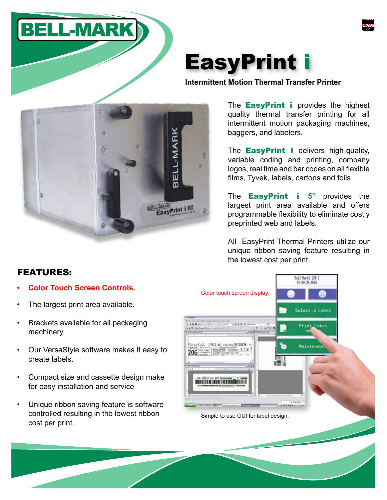



**Intermittent Motion Thermal Transfer Printer**

The **EasyPrint i** provides the highest quality thermal transfer printing for all intermittent motion packaging machines, baggers, and labelers.

The **EasyPrint i** delivers high-quality, variable coding and printing, company logos, real time and bar codes on all flexible films, Tyvek, labels, cartons and foils.

The EasyPrint i **5"** provides the largest print area available and offers programmable flexibility to eliminate costly preprinted web and labels.

All EasyPrint Thermal Printers utilize our unique ribbon saving feature resulting in the lowest cost per print.



## FEATURES:

- **• Color Touch Screen Controls.**
- The largest print area available.
- Brackets available for all packaging machinery.
- Our VersaStyle software makes it easy to create labels.
- Compact size and cassette design make for easy installation and service
- Unique ribbon saving feature is software controlled resulting in the lowest ribbon cost per print.